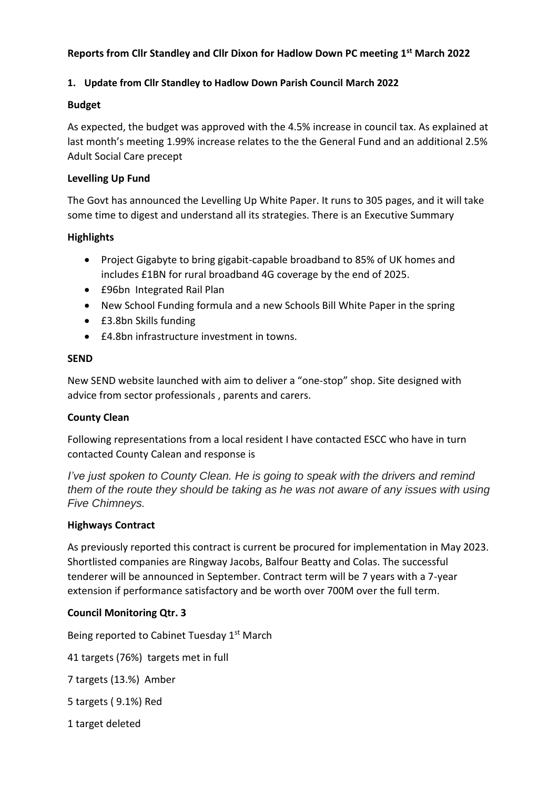## **Reports from Cllr Standley and Cllr Dixon for Hadlow Down PC meeting 1 st March 2022**

### **1. Update from Cllr Standley to Hadlow Down Parish Council March 2022**

#### **Budget**

As expected, the budget was approved with the 4.5% increase in council tax. As explained at last month's meeting 1.99% increase relates to the the General Fund and an additional 2.5% Adult Social Care precept

### **Levelling Up Fund**

The Govt has announced the Levelling Up White Paper. It runs to 305 pages, and it will take some time to digest and understand all its strategies. There is an Executive Summary

### **Highlights**

- Project Gigabyte to bring gigabit-capable broadband to 85% of UK homes and includes £1BN for rural broadband 4G coverage by the end of 2025.
- £96bn Integrated Rail Plan
- New School Funding formula and a new Schools Bill White Paper in the spring
- £3.8bn Skills funding
- £4.8bn infrastructure investment in towns.

### **SEND**

New SEND website launched with aim to deliver a "one-stop" shop. Site designed with advice from sector professionals , parents and carers.

# **County Clean**

Following representations from a local resident I have contacted ESCC who have in turn contacted County Calean and response is

*I've just spoken to County Clean. He is going to speak with the drivers and remind them of the route they should be taking as he was not aware of any issues with using Five Chimneys.*

#### **Highways Contract**

As previously reported this contract is current be procured for implementation in May 2023. Shortlisted companies are Ringway Jacobs, Balfour Beatty and Colas. The successful tenderer will be announced in September. Contract term will be 7 years with a 7-year extension if performance satisfactory and be worth over 700M over the full term.

# **Council Monitoring Qtr. 3**

Being reported to Cabinet Tuesday 1<sup>st</sup> March

41 targets (76%) targets met in full

7 targets (13.%) Amber

5 targets ( 9.1%) Red

1 target deleted